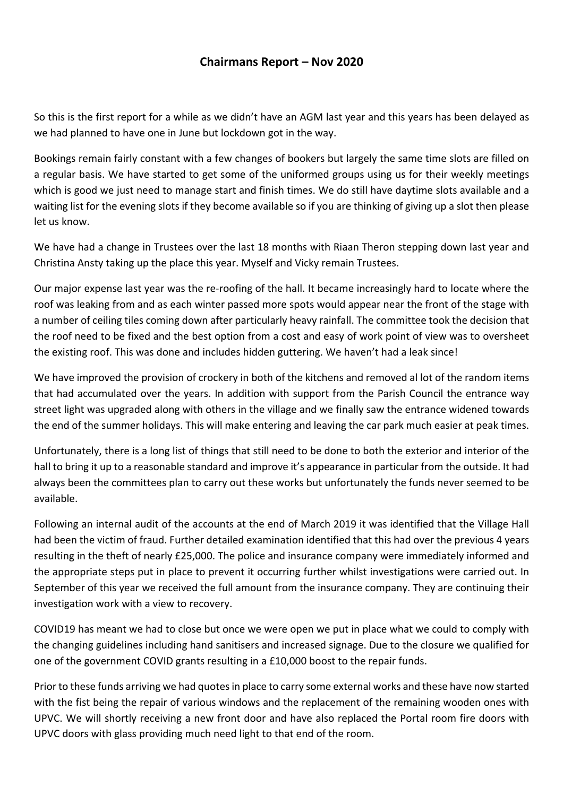## **Chairmans Report – Nov 2020**

So this is the first report for a while as we didn't have an AGM last year and this years has been delayed as we had planned to have one in June but lockdown got in the way.

Bookings remain fairly constant with a few changes of bookers but largely the same time slots are filled on a regular basis. We have started to get some of the uniformed groups using us for their weekly meetings which is good we just need to manage start and finish times. We do still have daytime slots available and a waiting list for the evening slots if they become available so if you are thinking of giving up a slot then please let us know.

We have had a change in Trustees over the last 18 months with Riaan Theron stepping down last year and Christina Ansty taking up the place this year. Myself and Vicky remain Trustees.

Our major expense last year was the re-roofing of the hall. It became increasingly hard to locate where the roof was leaking from and as each winter passed more spots would appear near the front of the stage with a number of ceiling tiles coming down after particularly heavy rainfall. The committee took the decision that the roof need to be fixed and the best option from a cost and easy of work point of view was to oversheet the existing roof. This was done and includes hidden guttering. We haven't had a leak since!

We have improved the provision of crockery in both of the kitchens and removed al lot of the random items that had accumulated over the years. In addition with support from the Parish Council the entrance way street light was upgraded along with others in the village and we finally saw the entrance widened towards the end of the summer holidays. This will make entering and leaving the car park much easier at peak times.

Unfortunately, there is a long list of things that still need to be done to both the exterior and interior of the hall to bring it up to a reasonable standard and improve it's appearance in particular from the outside. It had always been the committees plan to carry out these works but unfortunately the funds never seemed to be available.

Following an internal audit of the accounts at the end of March 2019 it was identified that the Village Hall had been the victim of fraud. Further detailed examination identified that this had over the previous 4 years resulting in the theft of nearly £25,000. The police and insurance company were immediately informed and the appropriate steps put in place to prevent it occurring further whilst investigations were carried out. In September of this year we received the full amount from the insurance company. They are continuing their investigation work with a view to recovery.

COVID19 has meant we had to close but once we were open we put in place what we could to comply with the changing guidelines including hand sanitisers and increased signage. Due to the closure we qualified for one of the government COVID grants resulting in a £10,000 boost to the repair funds.

Prior to these funds arriving we had quotes in place to carry some external works and these have now started with the fist being the repair of various windows and the replacement of the remaining wooden ones with UPVC. We will shortly receiving a new front door and have also replaced the Portal room fire doors with UPVC doors with glass providing much need light to that end of the room.